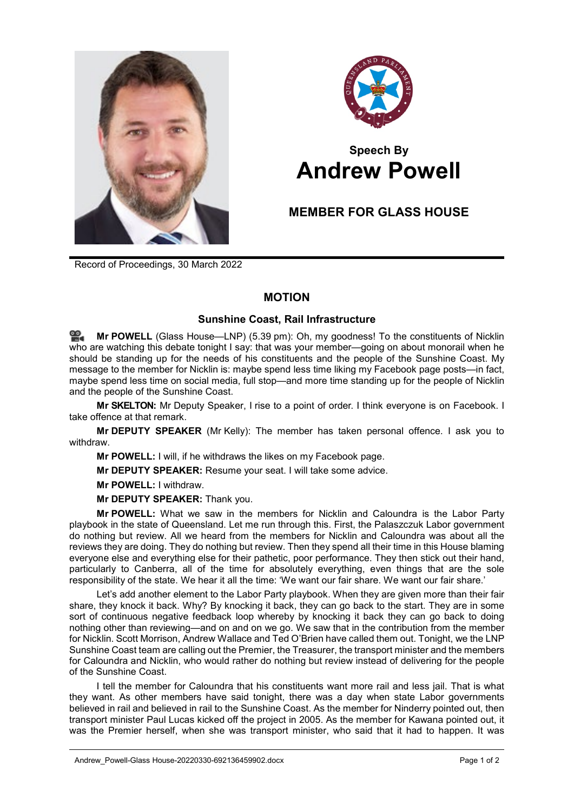



## **Speech By Andrew Powell**

## **MEMBER FOR GLASS HOUSE**

Record of Proceedings, 30 March 2022

## **MOTION**

## **Sunshine Coast, Rail Infrastructure**

≌. **Mr [POWELL](http://www.parliament.qld.gov.au/docs/find.aspx?id=0Mba20220330_173945)** (Glass House—LNP) (5.39 pm): Oh, my goodness! To the constituents of Nicklin who are watching this debate tonight I say: that was your member—going on about monorail when he should be standing up for the needs of his constituents and the people of the Sunshine Coast. My message to the member for Nicklin is: maybe spend less time liking my Facebook page posts—in fact, maybe spend less time on social media, full stop—and more time standing up for the people of Nicklin and the people of the Sunshine Coast.

**Mr SKELTON:** Mr Deputy Speaker, I rise to a point of order. I think everyone is on Facebook. I take offence at that remark.

**Mr DEPUTY SPEAKER** (Mr Kelly): The member has taken personal offence. I ask you to withdraw.

**Mr POWELL:** I will, if he withdraws the likes on my Facebook page.

**Mr DEPUTY SPEAKER:** Resume your seat. I will take some advice.

**Mr POWELL:** I withdraw.

**Mr DEPUTY SPEAKER:** Thank you.

**Mr POWELL:** What we saw in the members for Nicklin and Caloundra is the Labor Party playbook in the state of Queensland. Let me run through this. First, the Palaszczuk Labor government do nothing but review. All we heard from the members for Nicklin and Caloundra was about all the reviews they are doing. They do nothing but review. Then they spend all their time in this House blaming everyone else and everything else for their pathetic, poor performance. They then stick out their hand, particularly to Canberra, all of the time for absolutely everything, even things that are the sole responsibility of the state. We hear it all the time: 'We want our fair share. We want our fair share.'

Let's add another element to the Labor Party playbook. When they are given more than their fair share, they knock it back. Why? By knocking it back, they can go back to the start. They are in some sort of continuous negative feedback loop whereby by knocking it back they can go back to doing nothing other than reviewing—and on and on we go. We saw that in the contribution from the member for Nicklin. Scott Morrison, Andrew Wallace and Ted O'Brien have called them out. Tonight, we the LNP Sunshine Coast team are calling out the Premier, the Treasurer, the transport minister and the members for Caloundra and Nicklin, who would rather do nothing but review instead of delivering for the people of the Sunshine Coast.

I tell the member for Caloundra that his constituents want more rail and less jail. That is what they want. As other members have said tonight, there was a day when state Labor governments believed in rail and believed in rail to the Sunshine Coast. As the member for Ninderry pointed out, then transport minister Paul Lucas kicked off the project in 2005. As the member for Kawana pointed out, it was the Premier herself, when she was transport minister, who said that it had to happen. It was